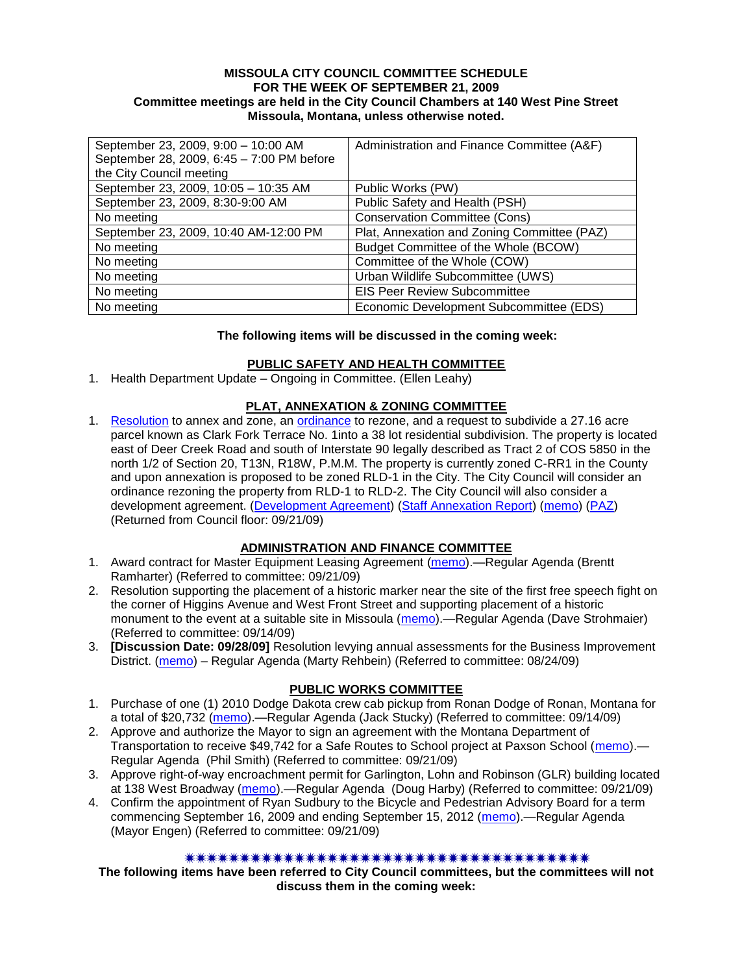#### **MISSOULA CITY COUNCIL COMMITTEE SCHEDULE FOR THE WEEK OF SEPTEMBER 21, 2009 Committee meetings are held in the City Council Chambers at 140 West Pine Street Missoula, Montana, unless otherwise noted.**

| September 23, 2009, 9:00 - 10:00 AM       | Administration and Finance Committee (A&F)  |
|-------------------------------------------|---------------------------------------------|
| September 28, 2009, 6:45 - 7:00 PM before |                                             |
| the City Council meeting                  |                                             |
| September 23, 2009, 10:05 - 10:35 AM      | Public Works (PW)                           |
| September 23, 2009, 8:30-9:00 AM          | Public Safety and Health (PSH)              |
| No meeting                                | <b>Conservation Committee (Cons)</b>        |
| September 23, 2009, 10:40 AM-12:00 PM     | Plat, Annexation and Zoning Committee (PAZ) |
| No meeting                                | Budget Committee of the Whole (BCOW)        |
| No meeting                                | Committee of the Whole (COW)                |
| No meeting                                | Urban Wildlife Subcommittee (UWS)           |
| No meeting                                | <b>EIS Peer Review Subcommittee</b>         |
| No meeting                                | Economic Development Subcommittee (EDS)     |

#### **The following items will be discussed in the coming week:**

#### **PUBLIC SAFETY AND HEALTH COMMITTEE**

1. Health Department Update – Ongoing in Committee. (Ellen Leahy)

### **PLAT, ANNEXATION & ZONING COMMITTEE**

1. [Resolution](http://www.ci.missoula.mt.us/DocumentView.aspx?DID=2267) to annex and zone, an [ordinance](http://www.ci.missoula.mt.us/DocumentView.aspx?DID=2271) to rezone, and a request to subdivide a 27.16 acre parcel known as Clark Fork Terrace No. 1into a 38 lot residential subdivision. The property is located east of Deer Creek Road and south of Interstate 90 legally described as Tract 2 of COS 5850 in the north 1/2 of Section 20, T13N, R18W, P.M.M. The property is currently zoned C-RR1 in the County and upon annexation is proposed to be zoned RLD-1 in the City. The City Council will consider an ordinance rezoning the property from RLD-1 to RLD-2. The City Council will also consider a development agreement. [\(Development Agreement\)](http://www.ci.missoula.mt.us/DocumentView.aspx?DID=2269) [\(Staff Annexation Report\)](http://www.ci.missoula.mt.us/DocumentView.aspx?DID=2268) [\(memo\)](http://www.ci.missoula.mt.us/DocumentView.aspx?DID=2036) [\(PAZ\)](http://www.ci.missoula.mt.us/Archive.aspx?ADID=1123) (Returned from Council floor: 09/21/09)

### **ADMINISTRATION AND FINANCE COMMITTEE**

- 1. Award contract for Master Equipment Leasing Agreement [\(memo\)](http://www.ci.missoula.mt.us/DocumentView.aspx?DID=2262).—Regular Agenda (Brentt Ramharter) (Referred to committee: 09/21/09)
- 2. Resolution supporting the placement of a historic marker near the site of the first free speech fight on the corner of Higgins Avenue and West Front Street and supporting placement of a historic monument to the event at a suitable site in Missoula [\(memo\)](http://www.ci.missoula.mt.us/DocumentView.aspx?DID=2227).—Regular Agenda (Dave Strohmaier) (Referred to committee: 09/14/09)
- 3. **[Discussion Date: 09/28/09]** Resolution levying annual assessments for the Business Improvement District. [\(memo\)](http://www.ci.missoula.mt.us/DocumentView.aspx?DID=2098) – Regular Agenda (Marty Rehbein) (Referred to committee: 08/24/09)

# **PUBLIC WORKS COMMITTEE**

- 1. Purchase of one (1) 2010 Dodge Dakota crew cab pickup from Ronan Dodge of Ronan, Montana for a total of \$20,732 [\(memo\)](http://www.ci.missoula.mt.us/DocumentView.aspx?DID=2231).—Regular Agenda (Jack Stucky) (Referred to committee: 09/14/09)
- 2. Approve and authorize the Mayor to sign an agreement with the Montana Department of Transportation to receive \$49,742 for a Safe Routes to School project at Paxson School [\(memo\)](http://www.ci.missoula.mt.us/DocumentView.aspx?DID=2266).— Regular Agenda (Phil Smith) (Referred to committee: 09/21/09)
- 3. Approve right-of-way encroachment permit for Garlington, Lohn and Robinson (GLR) building located at 138 West Broadway [\(memo\)](http://www.ci.missoula.mt.us/DocumentView.aspx?DID=2265).—Regular Agenda (Doug Harby) (Referred to committee: 09/21/09)
- 4. Confirm the appointment of Ryan Sudbury to the Bicycle and Pedestrian Advisory Board for a term commencing September 16, 2009 and ending September 15, 2012 [\(memo\)](http://www.ci.missoula.mt.us/DocumentView.aspx?DID=2263).—Regular Agenda (Mayor Engen) (Referred to committee: 09/21/09)

### 

**The following items have been referred to City Council committees, but the committees will not discuss them in the coming week:**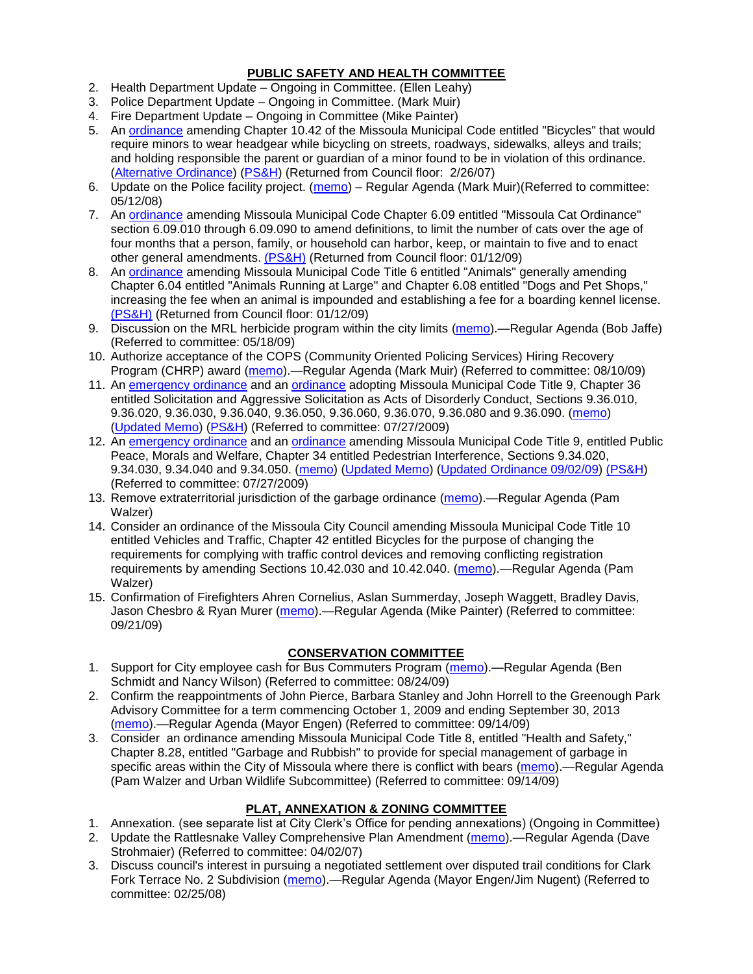### **PUBLIC SAFETY AND HEALTH COMMITTEE**

- 2. Health Department Update Ongoing in Committee. (Ellen Leahy)
- 3. Police Department Update Ongoing in Committee. (Mark Muir)
- 4. Fire Department Update Ongoing in Committee (Mike Painter)
- 5. An [ordinance](ftp://ftp.ci.missoula.mt.us/Packets/Council/2007/2007-02-05/07-01-31 Helmet and bikes psh.htm) amending Chapter 10.42 of the Missoula Municipal Code entitled "Bicycles" that would require minors to wear headgear while bicycling on streets, roadways, sidewalks, alleys and trails; and holding responsible the parent or guardian of a minor found to be in violation of this ordinance. [\(Alternative Ordinance\)](ftp://ftp.ci.missoula.mt.us/Packets/Council/2007/2007-02-26/07-02-19_Alternative_Helmet_and_bikes.htm) [\(PS&H\)](ftp://ftp.ci.missoula.mt.us/Packets/Council/2007/2007-02-05/070131psh.pdf) (Returned from Council floor: 2/26/07)
- 6. Update on the Police facility project. [\(memo\)](ftp://ftp.ci.missoula.mt.us/Packets/Council/2008/2008-05-12/Referrals/Buildingpresentationreferral.htm) Regular Agenda (Mark Muir)(Referred to committee: 05/12/08)
- 7. An [ordinance](ftp://ftp.ci.missoula.mt.us/Packets/Council/2008/2008-12-15/2008CatOrdinanceAmendment%5B1%5D.pdf) amending Missoula Municipal Code Chapter 6.09 entitled "Missoula Cat Ordinance" section 6.09.010 through 6.09.090 to amend definitions, to limit the number of cats over the age of four months that a person, family, or household can harbor, keep, or maintain to five and to enact other general amendments. [\(PS&H\)](ftp://ftp.ci.missoula.mt.us/Packets/Council/2008/2008-12-15/081210psh.pdf) (Returned from Council floor: 01/12/09)
- 8. An [ordinance](ftp://ftp.ci.missoula.mt.us/Packets/Council/2008/2008-12-15/DogOrdinance--PSHrevisions.pdf) amending Missoula Municipal Code Title 6 entitled "Animals" generally amending Chapter 6.04 entitled "Animals Running at Large" and Chapter 6.08 entitled "Dogs and Pet Shops," increasing the fee when an animal is impounded and establishing a fee for a boarding kennel license. [\(PS&H\)](ftp://ftp.ci.missoula.mt.us/Packets/Council/2008/2008-12-15/081210psh.pdf) (Returned from Council floor: 01/12/09)
- 9. Discussion on the MRL herbicide program within the city limits [\(memo\)](ftp://ftp.ci.missoula.mt.us/Packets/Council/2009/2009-05-18/Referrals/MRLWeedSprayingReferral.pdf).—Regular Agenda (Bob Jaffe) (Referred to committee: 05/18/09)
- 10. Authorize acceptance of the COPS (Community Oriented Policing Services) Hiring Recovery Program (CHRP) award [\(memo\)](http://www.ci.missoula.mt.us/DocumentView.aspx?DID=1999).—Regular Agenda (Mark Muir) (Referred to committee: 08/10/09)
- 11. An [emergency ordinance](http://www.ci.missoula.mt.us/DocumentView.aspx?DID=1652) and an [ordinance](http://www.ci.missoula.mt.us/DocumentView.aspx?DID=1650) adopting Missoula Municipal Code Title 9, Chapter 36 entitled Solicitation and Aggressive Solicitation as Acts of Disorderly Conduct, Sections 9.36.010, 9.36.020, 9.36.030, 9.36.040, 9.36.050, 9.36.060, 9.36.070, 9.36.080 and 9.36.090. [\(memo\)](ftp://ftp.ci.missoula.mt.us/Packets/Council/2009/2009-05-18/Referrals/PWGReferral.pdf) [\(Updated Memo\)](http://www.ci.missoula.mt.us/DocumentView.aspx?DID=1654) [\(PS&H\)](http://www.ci.missoula.mt.us/Archive.aspx?ADID=883) (Referred to committee: 07/27/2009)
- 12. An [emergency ordinance](http://www.ci.missoula.mt.us/DocumentView.aspx?DID=1651) and an [ordinance](http://www.ci.missoula.mt.us/DocumentView.aspx?DID=1653) amending Missoula Municipal Code Title 9, entitled Public Peace, Morals and Welfare, Chapter 34 entitled Pedestrian Interference, Sections 9.34.020, 9.34.030, 9.34.040 and 9.34.050. [\(memo\)](ftp://ftp.ci.missoula.mt.us/Packets/Council/2009/2009-05-18/Referrals/PWGReferral.pdf) [\(Updated Memo\)](http://www.ci.missoula.mt.us/DocumentView.aspx?DID=1654) [\(Updated Ordinance 09/02/09\)](http://www.ci.missoula.mt.us/DocumentView.aspx?DID=2185) [\(PS&H\)](http://www.ci.missoula.mt.us/Archive.aspx?ADID=883) (Referred to committee: 07/27/2009)
- 13. Remove extraterritorial jurisdiction of the garbage ordinance [\(memo\)](http://www.ci.missoula.mt.us/DocumentView.aspx?DID=2229).—Regular Agenda (Pam Walzer)
- 14. Consider an ordinance of the Missoula City Council amending Missoula Municipal Code Title 10 entitled Vehicles and Traffic, Chapter 42 entitled Bicycles for the purpose of changing the requirements for complying with traffic control devices and removing conflicting registration requirements by amending Sections 10.42.030 and 10.42.040. [\(memo\)](http://www.ci.missoula.mt.us/DocumentView.aspx?DID=2223).—Regular Agenda (Pam Walzer)
- 15. Confirmation of Firefighters Ahren Cornelius, Aslan Summerday, Joseph Waggett, Bradley Davis, Jason Chesbro & Ryan Murer [\(memo\)](http://www.ci.missoula.mt.us/DocumentView.aspx?DID=2264).—Regular Agenda (Mike Painter) (Referred to committee: 09/21/09)

# **CONSERVATION COMMITTEE**

- 1. Support for City employee cash for Bus Commuters Program [\(memo\)](http://www.ci.missoula.mt.us/DocumentView.aspx?DID=2127).—Regular Agenda (Ben Schmidt and Nancy Wilson) (Referred to committee: 08/24/09)
- 2. Confirm the reappointments of John Pierce, Barbara Stanley and John Horrell to the Greenough Park Advisory Committee for a term commencing October 1, 2009 and ending September 30, 2013 [\(memo\)](http://www.ci.missoula.mt.us/DocumentView.aspx?DID=2224).—Regular Agenda (Mayor Engen) (Referred to committee: 09/14/09)
- 3. Consider an ordinance amending Missoula Municipal Code Title 8, entitled "Health and Safety," Chapter 8.28, entitled "Garbage and Rubbish" to provide for special management of garbage in specific areas within the City of Missoula where there is conflict with bears [\(memo\)](http://www.ci.missoula.mt.us/DocumentView.aspx?DID=2228).—Regular Agenda (Pam Walzer and Urban Wildlife Subcommittee) (Referred to committee: 09/14/09)

# **PLAT, ANNEXATION & ZONING COMMITTEE**

- 1. Annexation. (see separate list at City Clerk's Office for pending annexations) (Ongoing in Committee)
- 2. Update the Rattlesnake Valley Comprehensive Plan Amendment [\(memo\)](ftp://ftp.ci.missoula.mt.us/Packets/Council/2007/2007-04-02/Referrals/Rattlesnake_Plan_Update_referral.pdf).—Regular Agenda (Dave Strohmaier) (Referred to committee: 04/02/07)
- 3. Discuss council's interest in pursuing a negotiated settlement over disputed trail conditions for Clark Fork Terrace No. 2 Subdivision [\(memo\)](ftp://ftp.ci.missoula.mt.us/Packets/Council/2008/2008-02-25/Referrals/Clark_Fork_Terrace_2.pdf).—Regular Agenda (Mayor Engen/Jim Nugent) (Referred to committee: 02/25/08)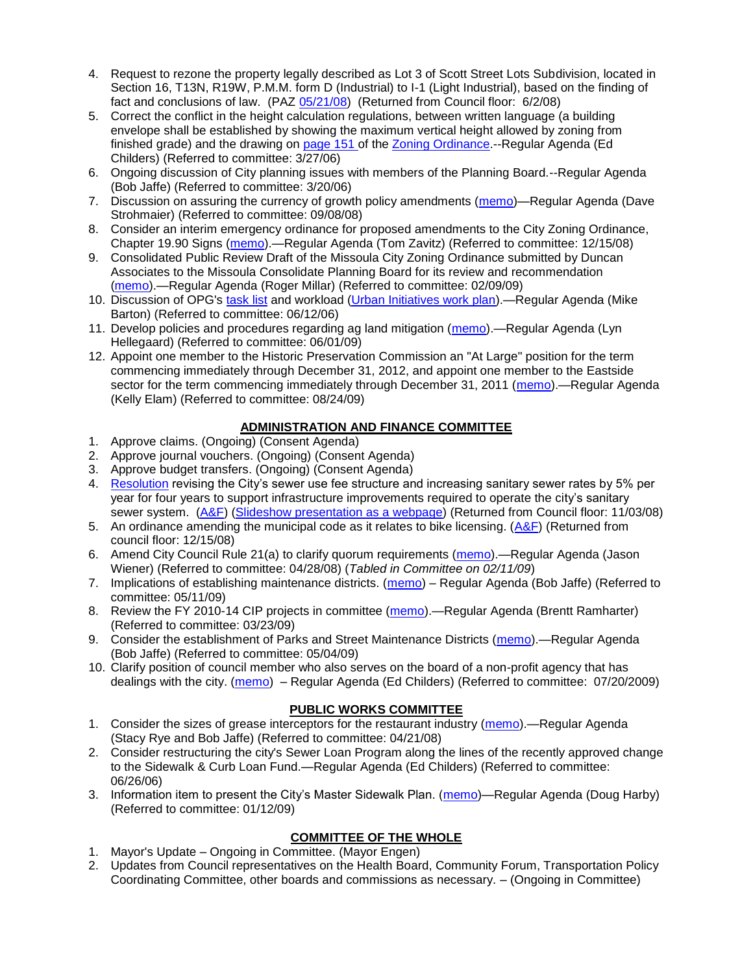- 4. Request to rezone the property legally described as Lot 3 of Scott Street Lots Subdivision, located in Section 16, T13N, R19W, P.M.M. form D (Industrial) to I-1 (Light Industrial), based on the finding of fact and conclusions of law. (PAZ [05/21/08\)](ftp://ftp.ci.missoula.mt.us/Packets/Council/2008/2008-06-02/080521paz.pdf) (Returned from Council floor: 6/2/08)
- 5. Correct the conflict in the height calculation regulations, between written language (a building envelope shall be established by showing the maximum vertical height allowed by zoning from finished grade) and the drawing on [page 151 o](ftp://www.co.missoula.mt.us/opg2/Documents/CurrentRegulations/CityZoningTitle19/CH19.67Hillside.pdf)f the [Zoning Ordinance.](ftp://www.co.missoula.mt.us/opg2/Documents/CurrentRegulations/CityZoningTitle19/CityOrdinanceLP.htm)--Regular Agenda (Ed Childers) (Referred to committee: 3/27/06)
- 6. Ongoing discussion of City planning issues with members of the Planning Board.--Regular Agenda (Bob Jaffe) (Referred to committee: 3/20/06)
- 7. Discussion on assuring the currency of growth policy amendments [\(memo\)](ftp://ftp.ci.missoula.mt.us/Packets/Council/2008/2008-09-08/Referrals/Plan_updates.pdf)—Regular Agenda (Dave Strohmaier) (Referred to committee: 09/08/08)
- 8. Consider an interim emergency ordinance for proposed amendments to the City Zoning Ordinance, Chapter 19.90 Signs [\(memo\)](ftp://ftp.ci.missoula.mt.us/Packets/Council/2008/2008-12-15/Referrals/ElectronicSignOrdinanceMemo.pdf).—Regular Agenda (Tom Zavitz) (Referred to committee: 12/15/08)
- 9. Consolidated Public Review Draft of the Missoula City Zoning Ordinance submitted by Duncan Associates to the Missoula Consolidate Planning Board for its review and recommendation [\(memo\)](ftp://ftp.ci.missoula.mt.us/Packets/Council/2009/2009-02-09/Referrals/CodeRewritetoPBMemo.pdf).—Regular Agenda (Roger Millar) (Referred to committee: 02/09/09)
- 10. Discussion of OPG's [task list](ftp://ftp.ci.missoula.mt.us/Packets/Council/2008/2008-07-07/UITaskList.pdf) and workload [\(Urban Initiatives work plan\)](ftp://ftp.ci.missoula.mt.us/Packets/Council/2006/2006-06-12/Referrals/Urban_Init.htm).—Regular Agenda (Mike Barton) (Referred to committee: 06/12/06)
- 11. Develop policies and procedures regarding ag land mitigation [\(memo\)](http://www.ci.missoula.mt.us/DocumentView.aspx?DID=1272).—Regular Agenda (Lyn Hellegaard) (Referred to committee: 06/01/09)
- 12. Appoint one member to the Historic Preservation Commission an "At Large" position for the term commencing immediately through December 31, 2012, and appoint one member to the Eastside sector for the term commencing immediately through December 31, 2011 [\(memo\)](http://www.ci.missoula.mt.us/DocumentView.aspx?DID=2128).—Regular Agenda (Kelly Elam) (Referred to committee: 08/24/09)

# **ADMINISTRATION AND FINANCE COMMITTEE**

- 1. Approve claims. (Ongoing) (Consent Agenda)
- 2. Approve journal vouchers. (Ongoing) (Consent Agenda)
- 3. Approve budget transfers. (Ongoing) (Consent Agenda)
- 4. [Resolution](ftp://ftp.ci.missoula.mt.us/Packets/Council/2008/2008-09-22/referrals/Sewerrateresolution.pdf) revising the City's sewer use fee structure and increasing sanitary sewer rates by 5% per year for four years to support infrastructure improvements required to operate the city's sanitary sewer system. [\(A&F\)](ftp://ftp.ci.missoula.mt.us/Packets/Council/2008/2008-10-06/081001af.pdf) [\(Slideshow presentation as a webpage\)](ftp://ftp.ci.missoula.mt.us/Packets/Council/2008/2008-11-03/2008-11-03SewerUserRateIncrease_files/frame.htm) (Returned from Council floor: 11/03/08)
- 5. An ordinance amending the municipal code as it relates to bike licensing.  $(A\&F)$  (Returned from council floor: 12/15/08)
- 6. Amend City Council Rule 21(a) to clarify quorum requirements [\(memo\)](ftp://ftp.ci.missoula.mt.us/Packets/Council/2008/2008-04-28/Referrals/CouncilRule21aReferral.pdf).—Regular Agenda (Jason Wiener) (Referred to committee: 04/28/08) (*Tabled in Committee on 02/11/09*)
- 7. Implications of establishing maintenance districts. [\(memo\)](ftp://ftp.ci.missoula.mt.us/Packets/Council/2009/2009-05-11/Referrals/MaintenanceDistricts.pdf) Regular Agenda (Bob Jaffe) (Referred to committee: 05/11/09)
- 8. Review the FY 2010-14 CIP projects in committee [\(memo\)](ftp://ftp.ci.missoula.mt.us/Packets/Council/2009/2009-03-23/Referrals/RefAFCIPBudgetReviewFY2010-2014CIP.pdf).—Regular Agenda (Brentt Ramharter) (Referred to committee: 03/23/09)
- 9. Consider the establishment of Parks and Street Maintenance Districts [\(memo\)](ftp://ftp.ci.missoula.mt.us/Packets/Council/2009/2009-05-04/Referrals/MaintenanceDistricts.pdf).—Regular Agenda (Bob Jaffe) (Referred to committee: 05/04/09)
- 10. Clarify position of council member who also serves on the board of a non-profit agency that has dealings with the city. [\(memo\)](http://www.ci.missoula.mt.us/DocumentView.aspx?DID=1840) – Regular Agenda (Ed Childers) (Referred to committee: 07/20/2009)

### **PUBLIC WORKS COMMITTEE**

- 1. Consider the sizes of grease interceptors for the restaurant industry [\(memo\)](ftp://ftp.ci.missoula.mt.us/Packets/Council/2008/2008-04-21/Referrals/Industrial_waste_restaurants.pdf).—Regular Agenda (Stacy Rye and Bob Jaffe) (Referred to committee: 04/21/08)
- 2. Consider restructuring the city's Sewer Loan Program along the lines of the recently approved change to the Sidewalk & Curb Loan Fund.—Regular Agenda (Ed Childers) (Referred to committee: 06/26/06)
- 3. Information item to present the City's Master Sidewalk Plan. [\(memo\)](ftp://ftp.ci.missoula.mt.us/packets/council/2009/2009-01-12/Referrals/MstrSdwlkPlnREF.pdf)—Regular Agenda (Doug Harby) (Referred to committee: 01/12/09)

# **COMMITTEE OF THE WHOLE**

- 1. Mayor's Update Ongoing in Committee. (Mayor Engen)
- 2. Updates from Council representatives on the Health Board, Community Forum, Transportation Policy Coordinating Committee, other boards and commissions as necessary. – (Ongoing in Committee)